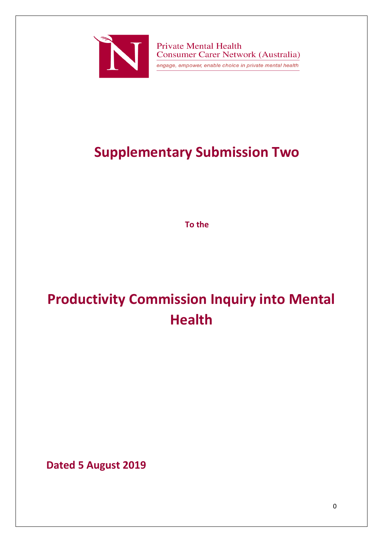

**Private Mental Health Consumer Carer Network (Australia)** engage, empower, enable choice in private mental health

# **Supplementary Submission Two**

**To the**

# **Productivity Commission Inquiry into Mental Health**

**Dated 5 August 2019**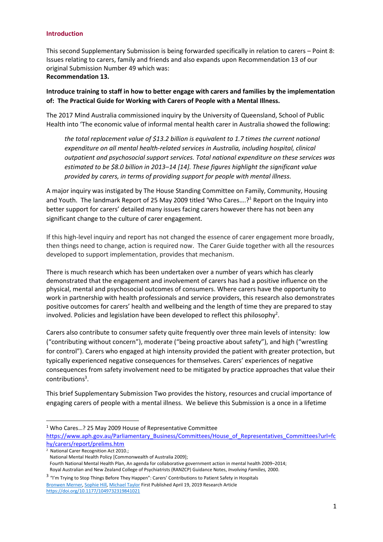#### **Introduction**

This second Supplementary Submission is being forwarded specifically in relation to carers – Point 8: Issues relating to carers, family and friends and also expands upon Recommendation 13 of our original Submission Number 49 which was: **Recommendation 13.**

**Introduce training to staff in how to better engage with carers and families by the implementation of: The Practical Guide for Working with Carers of People with a Mental Illness.** 

The 2017 Mind Australia commissioned inquiry by the University of Queensland, School of Public Health into 'The economic value of informal mental health carer in Australia showed the following:

*the total replacement value of \$13.2 billion is equivalent to 1.7 times the current national expenditure on all mental health-related services in Australia, including hospital, clinical outpatient and psychosocial support services. Total national expenditure on these services was estimated to be \$8.0 billion in 2013–14 [14]. These figures highlight the significant value provided by carers, in terms of providing support for people with mental illness.*

A major inquiry was instigated by The House Standing Committee on Family, Community, Housing and Youth. The landmark Report of 25 May 2009 titled 'Who Cares....?<sup>1</sup> Report on the Inquiry into better support for carers' detailed many issues facing carers however there has not been any significant change to the culture of carer engagement.

If this high-level inquiry and report has not changed the essence of carer engagement more broadly, then things need to change, action is required now. The Carer Guide together with all the resources developed to support implementation, provides that mechanism.

There is much research which has been undertaken over a number of years which has clearly demonstrated that the engagement and involvement of carers has had a positive influence on the physical, mental and psychosocial outcomes of consumers. Where carers have the opportunity to work in partnership with health professionals and service providers, this research also demonstrates positive outcomes for carers' health and wellbeing and the length of time they are prepared to stay involved. Policies and legislation have been developed to reflect this philosophy<sup>2</sup>.

Carers also contribute to consumer safety quite frequently over three main levels of intensity: low ("contributing without concern"), moderate ("being proactive about safety"), and high ("wrestling for control"). Carers who engaged at high intensity provided the patient with greater protection, but typically experienced negative consequences for themselves. Carers' experiences of negative consequences from safety involvement need to be mitigated by practice approaches that value their contributions<sup>3</sup>.

This brief Supplementary Submission Two provides the history, resources and crucial importance of engaging carers of people with a mental illness. We believe this Submission is a once in a lifetime

1

<sup>1</sup> Who Cares…? 25 May 2009 House of Representative Committee

[https://www.aph.gov.au/Parliamentary\\_Business/Committees/House\\_of\\_Representatives\\_Committees?url=fc](https://www.aph.gov.au/Parliamentary_Business/Committees/House_of_Representatives_Committees?url=fchy/carers/report/prelims.htm) [hy/carers/report/prelims.htm](https://www.aph.gov.au/Parliamentary_Business/Committees/House_of_Representatives_Committees?url=fchy/carers/report/prelims.htm)

 $\overline{2}$  National Carer Recognition Act 2010.;

National Mental Health Policy [Commonwealth of Australia 2009];

Fourth National Mental Health Plan, An agenda for collaborative government action in mental health 2009–2014; Royal Australian and New Zealand College of Psychiatrists (RANZCP) Guidance Notes, *Involving Families,* 2000.

<sup>&</sup>lt;sup>3</sup> "I'm Trying to Stop Things Before They Happen": Carers' Contributions to Patient Safety in Hospitals [Bronwen Merner,](https://journals.sagepub.com/doi/full/10.1177/1049732319841021) [Sophie Hill,](https://journals.sagepub.com/doi/full/10.1177/1049732319841021) [Michael Taylor](https://journals.sagepub.com/doi/full/10.1177/1049732319841021) First Published April 19, 2019 Research Article [https://doi.org/10.1177/1049732319841021](https://doi.org/10.1177%2F1049732319841021)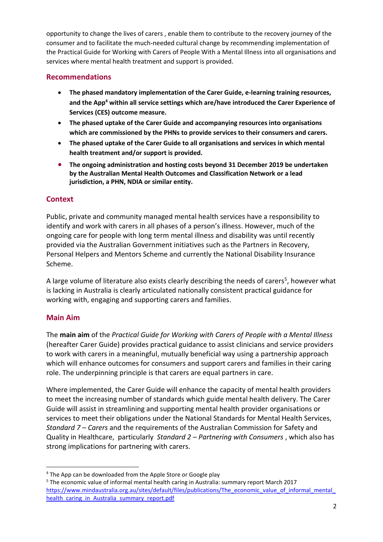opportunity to change the lives of carers , enable them to contribute to the recovery journey of the consumer and to facilitate the much-needed cultural change by recommending implementation of the Practical Guide for Working with Carers of People With a Mental Illness into all organisations and services where mental health treatment and support is provided.

# **Recommendations**

- **The phased mandatory implementation of the Carer Guide, e-learning training resources, and the App<sup>4</sup> within all service settings which are/have introduced the Carer Experience of Services (CES) outcome measure.**
- **The phased uptake of the Carer Guide and accompanying resources into organisations which are commissioned by the PHNs to provide services to their consumers and carers.**
- **The phased uptake of the Carer Guide to all organisations and services in which mental health treatment and/or support is provided.**
- **The ongoing administration and hosting costs beyond 31 December 2019 be undertaken by the Australian Mental Health Outcomes and Classification Network or a lead jurisdiction, a PHN, NDIA or similar entity.**

# **Context**

Public, private and community managed mental health services have a responsibility to identify and work with carers in all phases of a person's illness. However, much of the ongoing care for people with long term mental illness and disability was until recently provided via the Australian Government initiatives such as the Partners in Recovery, Personal Helpers and Mentors Scheme and currently the National Disability Insurance Scheme.

A large volume of literature also exists clearly describing the needs of carers<sup>5</sup>, however what is lacking in Australia is clearly articulated nationally consistent practical guidance for working with, engaging and supporting carers and families.

# **Main Aim**

1

The **main aim** of the *Practical Guide for Working with Carers of People with a Mental Illness*  (hereafter Carer Guide) provides practical guidance to assist clinicians and service providers to work with carers in a meaningful, mutually beneficial way using a partnership approach which will enhance outcomes for consumers and support carers and families in their caring role. The underpinning principle is that carers are equal partners in care.

Where implemented, the Carer Guide will enhance the capacity of mental health providers to meet the increasing number of standards which guide mental health delivery. The Carer Guide will assist in streamlining and supporting mental health provider organisations or services to meet their obligations under the National Standards for Mental Health Services, *Standard 7 – Carers* and the requirements of the Australian Commission for Safety and Quality in Healthcare, particularly *Standard 2 – Partnering with Consumers* , which also has strong implications for partnering with carers.

<sup>4</sup> The App can be downloaded from the Apple Store or Google play

<sup>5</sup> The economic value of informal mental health caring in Australia: summary report March 2017 https://www.mindaustralia.org.au/sites/default/files/publications/The\_economic\_value\_of\_informal\_mental health caring in Australia summary report.pdf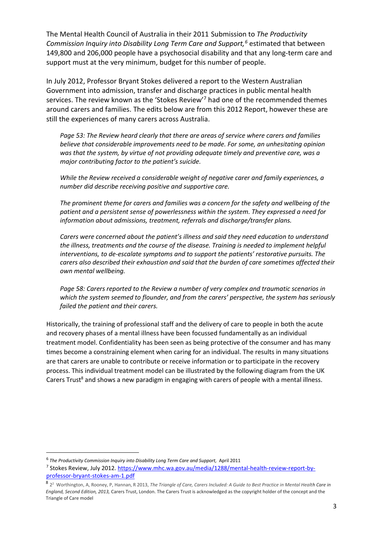The Mental Health Council of Australia in their 2011 Submission to *The Productivity Commission Inquiry into Disability Long Term Care and Support,<sup>6</sup>* estimated that between 149,800 and 206,000 people have a psychosocial disability and that any long-term care and support must at the very minimum, budget for this number of people.

In July 2012, Professor Bryant Stokes delivered a report to the Western Australian Government into admission, transfer and discharge practices in public mental health services. The review known as the 'Stokes Review'<sup>7</sup> had one of the recommended themes around carers and families. The edits below are from this 2012 Report, however these are still the experiences of many carers across Australia.

*Page 53: The Review heard clearly that there are areas of service where carers and families believe that considerable improvements need to be made. For some, an unhesitating opinion was that the system, by virtue of not providing adequate timely and preventive care, was a major contributing factor to the patient's suicide.* 

*While the Review received a considerable weight of negative carer and family experiences, a number did describe receiving positive and supportive care.* 

*The prominent theme for carers and families was a concern for the safety and wellbeing of the patient and a persistent sense of powerlessness within the system. They expressed a need for information about admissions, treatment, referrals and discharge/transfer plans.* 

*Carers were concerned about the patient's illness and said they need education to understand the illness, treatments and the course of the disease. Training is needed to implement helpful interventions, to de-escalate symptoms and to support the patients' restorative pursuits. The carers also described their exhaustion and said that the burden of care sometimes affected their own mental wellbeing.*

*Page 58: Carers reported to the Review a number of very complex and traumatic scenarios in which the system seemed to flounder, and from the carers' perspective, the system has seriously failed the patient and their carers.* 

Historically, the training of professional staff and the delivery of care to people in both the acute and recovery phases of a mental illness have been focussed fundamentally as an individual treatment model. Confidentiality has been seen as being protective of the consumer and has many times become a constraining element when caring for an individual. The results in many situations are that carers are unable to contribute or receive information or to participate in the recovery process. This individual treatment model can be illustrated by the following diagram from the UK Carers Trust<sup>8</sup> and shows a new paradigm in engaging with carers of people with a mental illness.

 $\overline{a}$ 

<sup>&</sup>lt;sup>6</sup> The Productivity Commission Inquiry into Disability Long Term Care and Support, April 2011

<sup>&</sup>lt;sup>7</sup> Stokes Review, July 2012. [https://www.mhc.wa.gov.au/media/1288/mental-health-review-report-by](https://www.mhc.wa.gov.au/media/1288/mental-health-review-report-by-professor-bryant-stokes-am-1.pdf)[professor-bryant-stokes-am-1.pdf](https://www.mhc.wa.gov.au/media/1288/mental-health-review-report-by-professor-bryant-stokes-am-1.pdf)

<sup>8</sup> 2 <sup>2</sup> Worthington, A, Rooney, P, Hannan, R 2013, *The Triangle of Care, Carers Included: A Guide to Best Practice in Mental Health Care in England, Second Edition, 2013,* Carers Trust, London. The Carers Trust is acknowledged as the copyright holder of the concept and the Triangle of Care model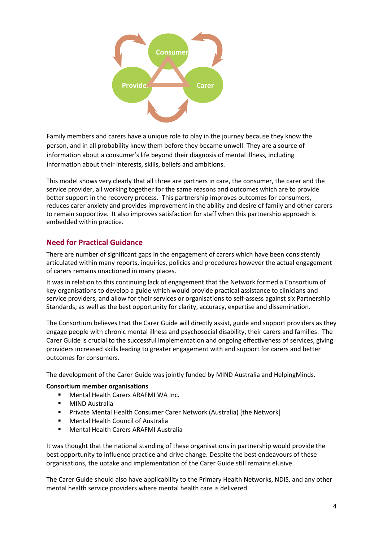

Family members and carers have a unique role to play in the journey because they know the person, and in all probability knew them before they became unwell. They are a source of information about a consumer's life beyond their diagnosis of mental illness, including information about their interests, skills, beliefs and ambitions.

This model shows very clearly that all three are partners in care, the consumer, the carer and the service provider, all working together for the same reasons and outcomes which are to provide better support in the recovery process. This partnership improves outcomes for consumers, reduces carer anxiety and provides improvement in the ability and desire of family and other carers to remain supportive. It also improves satisfaction for staff when this partnership approach is embedded within practice.

# **Need for Practical Guidance**

There are number of significant gaps in the engagement of carers which have been consistently articulated within many reports, inquiries, policies and procedures however the actual engagement of carers remains unactioned in many places.

It was in relation to this continuing lack of engagement that the Network formed a Consortium of key organisations to develop a guide which would provide practical assistance to clinicians and service providers, and allow for their services or organisations to self-assess against six Partnership Standards, as well as the best opportunity for clarity, accuracy, expertise and dissemination.

The Consortium believes that the Carer Guide will directly assist, guide and support providers as they engage people with chronic mental illness and psychosocial disability, their carers and families. The Carer Guide is crucial to the successful implementation and ongoing effectiveness of services, giving providers increased skills leading to greater engagement with and support for carers and better outcomes for consumers.

The development of the Carer Guide was jointly funded by MIND Australia and HelpingMinds.

### **Consortium member organisations**

- Mental Health Carers ARAFMI WA Inc.
- MIND Australia
- Private Mental Health Consumer Carer Network (Australia) [the Network]
- Mental Health Council of Australia
- Mental Health Carers ARAFMI Australia

It was thought that the national standing of these organisations in partnership would provide the best opportunity to influence practice and drive change. Despite the best endeavours of these organisations, the uptake and implementation of the Carer Guide still remains elusive.

The Carer Guide should also have applicability to the Primary Health Networks, NDIS, and any other mental health service providers where mental health care is delivered.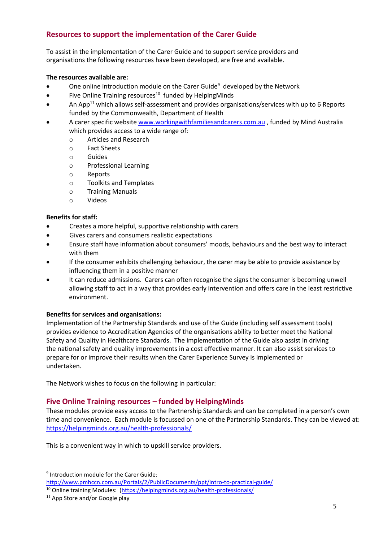# **Resources to support the implementation of the Carer Guide**

To assist in the implementation of the Carer Guide and to support service providers and organisations the following resources have been developed, are free and available.

### **The resources available are:**

- One online introduction module on the Carer Guide<sup>9</sup> developed by the Network
- $\bullet$  Five Online Training resources<sup>10</sup> funded by HelpingMinds
- An App<sup>11</sup> which allows self-assessment and provides organisations/services with up to 6 Reports funded by the Commonwealth, Department of Health
- A carer specific website [www.workingwithfamiliesandcarers.com.au](http://www.workingwithfamiliesandcarers.com.au/), funded by Mind Australia which provides access to a wide range of:
	- o Articles and Research
	- o Fact Sheets
	- o Guides
	- o Professional Learning
	- o Reports
	- o Toolkits and Templates
	- o Training Manuals
	- o Videos

#### **Benefits for staff:**

- Creates a more helpful, supportive relationship with carers
- Gives carers and consumers realistic expectations
- Ensure staff have information about consumers' moods, behaviours and the best way to interact with them
- If the consumer exhibits challenging behaviour, the carer may be able to provide assistance by influencing them in a positive manner
- It can reduce admissions. Carers can often recognise the signs the consumer is becoming unwell allowing staff to act in a way that provides early intervention and offers care in the least restrictive environment.

#### **Benefits for services and organisations:**

Implementation of the Partnership Standards and use of the Guide (including self assessment tools) provides evidence to Accreditation Agencies of the organisations ability to better meet the National Safety and Quality in Healthcare Standards. The implementation of the Guide also assist in driving the national safety and quality improvements in a cost effective manner. It can also assist services to prepare for or improve their results when the Carer Experience Survey is implemented or undertaken.

The Network wishes to focus on the following in particular:

# **Five Online Training resources – funded by HelpingMinds**

These modules provide easy access to the Partnership Standards and can be completed in a person's own time and convenience. Each module is focussed on one of the Partnership Standards. They can be viewed at: <https://helpingminds.org.au/health-professionals/>

This is a convenient way in which to upskill service providers.

1

<sup>9</sup> Introduction module for the Carer Guide:

<http://www.pmhccn.com.au/Portals/2/PublicDocuments/ppt/intro-to-practical-guide/>

<sup>&</sup>lt;sup>10</sup> Online training Modules: [\(https://helpingminds.org.au/health-professionals/](https://helpingminds.org.au/health-professionals/)

<sup>&</sup>lt;sup>11</sup> App Store and/or Google play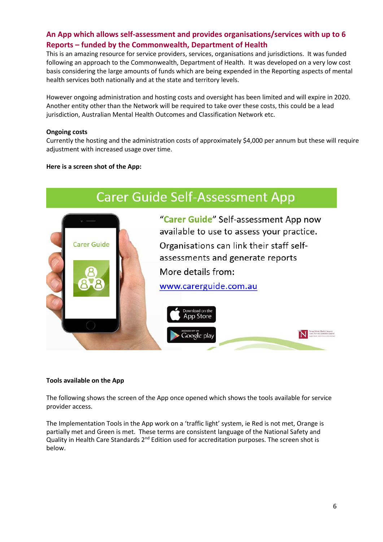# **An App which allows self-assessment and provides organisations/services with up to 6 Reports – funded by the Commonwealth, Department of Health**

This is an amazing resource for service providers, services, organisations and jurisdictions. It was funded following an approach to the Commonwealth, Department of Health. It was developed on a very low cost basis considering the large amounts of funds which are being expended in the Reporting aspects of mental health services both nationally and at the state and territory levels.

However ongoing administration and hosting costs and oversight has been limited and will expire in 2020. Another entity other than the Network will be required to take over these costs, this could be a lead jurisdiction, Australian Mental Health Outcomes and Classification Network etc.

#### **Ongoing costs**

Currently the hosting and the administration costs of approximately \$4,000 per annum but these will require adjustment with increased usage over time.

#### **Here is a screen shot of the App:**



#### **Tools available on the App**

The following shows the screen of the App once opened which shows the tools available for service provider access.

The Implementation Tools in the App work on a 'traffic light' system, ie Red is not met, Orange is partially met and Green is met. These terms are consistent language of the National Safety and Quality in Health Care Standards 2<sup>nd</sup> Edition used for accreditation purposes. The screen shot is below.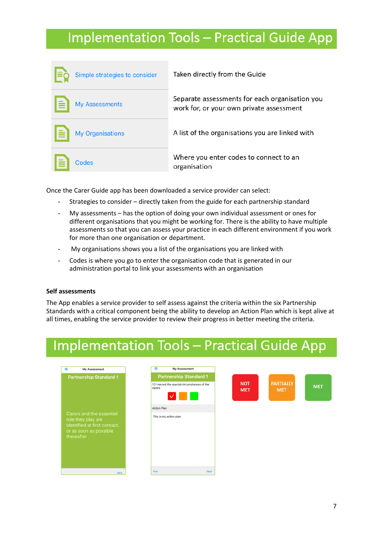# **Implementation Tools - Practical Guide App**

| Simple strategies to consider | Taken directly from the Guide                                                              |
|-------------------------------|--------------------------------------------------------------------------------------------|
| <b>My Assessments</b>         | Separate assessments for each organisation you<br>work for, or your own private assessment |
| <b>My Organisations</b>       | A list of the organisations you are linked with                                            |
| Codes                         | Where you enter codes to connect to an<br>organisation                                     |

Once the Carer Guide app has been downloaded a service provider can select:

- Strategies to consider directly taken from the guide for each partnership standard
- My assessments has the option of doing your own individual assessment or ones for different organisations that you might be working for. There is the ability to have multiple assessments so that you can assess your practice in each different environment if you work for more than one organisation or department.
- My organisations shows you a list of the organisations you are linked with
- Codes is where you go to enter the organisation code that is generated in our administration portal to link your assessments with an organisation

#### **Self assessments**

The App enables a service provider to self assess against the criteria within the six Partnership Standards with a critical component being the ability to develop an Action Plan which is kept alive at all times, enabling the service provider to review their progress in better meeting the criteria.

# **Implementation Tools - Practical Guide App**

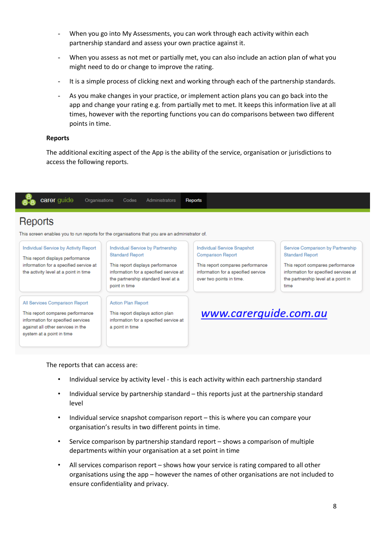- When you go into My Assessments, you can work through each activity within each partnership standard and assess your own practice against it.
- When you assess as not met or partially met, you can also include an action plan of what you might need to do or change to improve the rating.
- It is a simple process of clicking next and working through each of the partnership standards.
- As you make changes in your practice, or implement action plans you can go back into the app and change your rating e.g. from partially met to met. It keeps this information live at all times, however with the reporting functions you can do comparisons between two different points in time.

#### **Reports**

The additional exciting aspect of the App is the ability of the service, organisation or jurisdictions to access the following reports.



The reports that can access are:

- Individual service by activity level this is each activity within each partnership standard
- Individual service by partnership standard this reports just at the partnership standard level
- Individual service snapshot comparison report this is where you can compare your organisation's results in two different points in time.
- Service comparison by partnership standard report shows a comparison of multiple departments within your organisation at a set point in time
- All services comparison report shows how your service is rating compared to all other organisations using the app – however the names of other organisations are not included to ensure confidentiality and privacy.